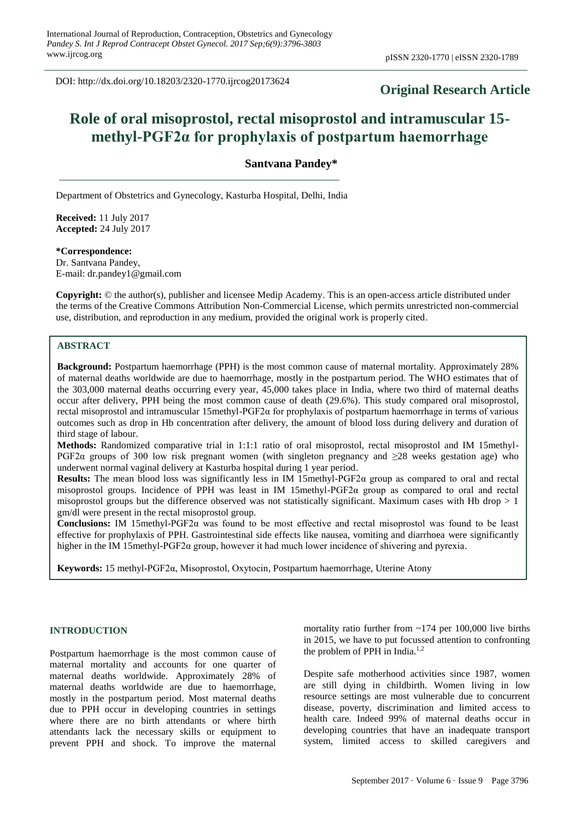DOI: http://dx.doi.org/10.18203/2320-1770.ijrcog20173624

## **Original Research Article**

# **Role of oral misoprostol, rectal misoprostol and intramuscular 15 methyl-PGF2α for prophylaxis of postpartum haemorrhage**

**Santvana Pandey\***

Department of Obstetrics and Gynecology, Kasturba Hospital, Delhi, India

**Received:** 11 July 2017 **Accepted:** 24 July 2017

**\*Correspondence:** Dr. Santvana Pandey, E-mail: dr.pandey1@gmail.com

**Copyright:** © the author(s), publisher and licensee Medip Academy. This is an open-access article distributed under the terms of the Creative Commons Attribution Non-Commercial License, which permits unrestricted non-commercial use, distribution, and reproduction in any medium, provided the original work is properly cited.

### **ABSTRACT**

**Background:** Postpartum haemorrhage (PPH) is the most common cause of maternal mortality. Approximately 28% of maternal deaths worldwide are due to haemorrhage, mostly in the postpartum period. The WHO estimates that of the 303,000 maternal deaths occurring every year, 45,000 takes place in India, where two third of maternal deaths occur after delivery, PPH being the most common cause of death (29.6%). This study compared oral misoprostol, rectal misoprostol and intramuscular 15methyl-PGF2α for prophylaxis of postpartum haemorrhage in terms of various outcomes such as drop in Hb concentration after delivery, the amount of blood loss during delivery and duration of third stage of labour.

**Methods:** Randomized comparative trial in 1:1:1 ratio of oral misoprostol, rectal misoprostol and IM 15methyl-PGF2 $\alpha$  groups of 300 low risk pregnant women (with singleton pregnancy and  $\geq$ 28 weeks gestation age) who underwent normal vaginal delivery at Kasturba hospital during 1 year period.

**Results:** The mean blood loss was significantly less in IM 15methyl-PGF2 $\alpha$  group as compared to oral and rectal misoprostol groups. Incidence of PPH was least in IM 15methyl-PGF2α group as compared to oral and rectal misoprostol groups but the difference observed was not statistically significant. Maximum cases with Hb drop  $> 1$ gm/dl were present in the rectal misoprostol group.

**Conclusions:** IM 15methyl-PGF2α was found to be most effective and rectal misoprostol was found to be least effective for prophylaxis of PPH. Gastrointestinal side effects like nausea, vomiting and diarrhoea were significantly higher in the IM 15methyl-PGF2α group, however it had much lower incidence of shivering and pyrexia.

**Keywords:** 15 methyl-PGF2α, Misoprostol, Oxytocin, Postpartum haemorrhage, Uterine Atony

### **INTRODUCTION**

Postpartum haemorrhage is the most common cause of maternal mortality and accounts for one quarter of maternal deaths worldwide. Approximately 28% of maternal deaths worldwide are due to haemorrhage, mostly in the postpartum period. Most maternal deaths due to PPH occur in developing countries in settings where there are no birth attendants or where birth attendants lack the necessary skills or equipment to prevent PPH and shock. To improve the maternal mortality ratio further from  $\sim$ 174 per 100,000 live births in 2015, we have to put focussed attention to confronting the problem of PPH in India.<sup>1,2</sup>

Despite safe motherhood activities since 1987, women are still dying in childbirth. Women living in low resource settings are most vulnerable due to concurrent disease, poverty, discrimination and limited access to health care. Indeed 99% of maternal deaths occur in developing countries that have an inadequate transport system, limited access to skilled caregivers and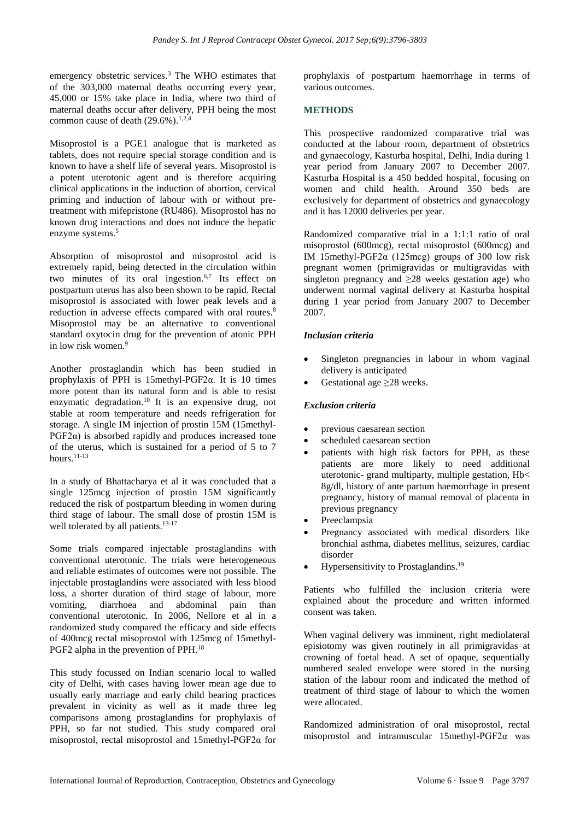emergency obstetric services.<sup>3</sup> The WHO estimates that of the 303,000 maternal deaths occurring every year, 45,000 or 15% take place in India, where two third of maternal deaths occur after delivery, PPH being the most common cause of death  $(29.6\%)$ .<sup>1,2,4</sup>

Misoprostol is a PGE1 analogue that is marketed as tablets, does not require special storage condition and is known to have a shelf life of several years. Misoprostol is a potent uterotonic agent and is therefore acquiring clinical applications in the induction of abortion, cervical priming and induction of labour with or without pretreatment with mifepristone (RU486). Misoprostol has no known drug interactions and does not induce the hepatic enzyme systems. 5

Absorption of misoprostol and misoprostol acid is extremely rapid, being detected in the circulation within two minutes of its oral ingestion. 6,7 Its effect on postpartum uterus has also been shown to be rapid. Rectal misoprostol is associated with lower peak levels and a reduction in adverse effects compared with oral routes.<sup>8</sup> Misoprostol may be an alternative to conventional standard oxytocin drug for the prevention of atonic PPH in low risk women. 9

Another prostaglandin which has been studied in prophylaxis of PPH is 15methyl-PGF2 $\alpha$ . It is 10 times more potent than its natural form and is able to resist enzymatic degradation.<sup>10</sup> It is an expensive drug, not stable at room temperature and needs refrigeration for storage. A single IM injection of prostin 15M (15methyl- $PGF2\alpha$ ) is absorbed rapidly and produces increased tone of the uterus, which is sustained for a period of 5 to 7 hours. $11-13$ 

In a study of Bhattacharya et al it was concluded that a single 125mcg injection of prostin 15M significantly reduced the risk of postpartum bleeding in women during third stage of labour. The small dose of prostin 15M is well tolerated by all patients.<sup>13-17</sup>

Some trials compared injectable prostaglandins with conventional uterotonic. The trials were heterogeneous and reliable estimates of outcomes were not possible. The injectable prostaglandins were associated with less blood loss, a shorter duration of third stage of labour, more vomiting, diarrhoea and abdominal pain than conventional uterotonic. In 2006, Nellore et al in a randomized study compared the efficacy and side effects of 400mcg rectal misoprostol with 125mcg of 15methyl-PGF2 alpha in the prevention of PPH.<sup>18</sup>

This study focussed on Indian scenario local to walled city of Delhi, with cases having lower mean age due to usually early marriage and early child bearing practices prevalent in vicinity as well as it made three leg comparisons among prostaglandins for prophylaxis of PPH, so far not studied. This study compared oral misoprostol, rectal misoprostol and 15methyl-PGF2α for prophylaxis of postpartum haemorrhage in terms of various outcomes.

### **METHODS**

This prospective randomized comparative trial was conducted at the labour room, department of obstetrics and gynaecology, Kasturba hospital, Delhi, India during 1 year period from January 2007 to December 2007. Kasturba Hospital is a 450 bedded hospital, focusing on women and child health. Around 350 beds are exclusively for department of obstetrics and gynaecology and it has 12000 deliveries per year.

Randomized comparative trial in a 1:1:1 ratio of oral misoprostol (600mcg), rectal misoprostol (600mcg) and IM 15methyl-PGF2α (125mcg) groups of 300 low risk pregnant women (primigravidas or multigravidas with singleton pregnancy and  $\geq 28$  weeks gestation age) who underwent normal vaginal delivery at Kasturba hospital during 1 year period from January 2007 to December 2007.

### *Inclusion criteria*

- Singleton pregnancies in labour in whom vaginal delivery is anticipated
- Gestational age ≥28 weeks.

### *Exclusion criteria*

- previous caesarean section
- scheduled caesarean section
- patients with high risk factors for PPH, as these patients are more likely to need additional uterotonic- grand multiparty, multiple gestation, Hb< 8g/dl, history of ante partum haemorrhage in present pregnancy, history of manual removal of placenta in previous pregnancy
- Preeclampsia
- Pregnancy associated with medical disorders like bronchial asthma, diabetes mellitus, seizures, cardiac disorder
- Hypersensitivity to Prostaglandins.<sup>19</sup>

Patients who fulfilled the inclusion criteria were explained about the procedure and written informed consent was taken.

When vaginal delivery was imminent, right mediolateral episiotomy was given routinely in all primigravidas at crowning of foetal head. A set of opaque, sequentially numbered sealed envelope were stored in the nursing station of the labour room and indicated the method of treatment of third stage of labour to which the women were allocated.

Randomized administration of oral misoprostol, rectal misoprostol and intramuscular 15methyl-PGF2α was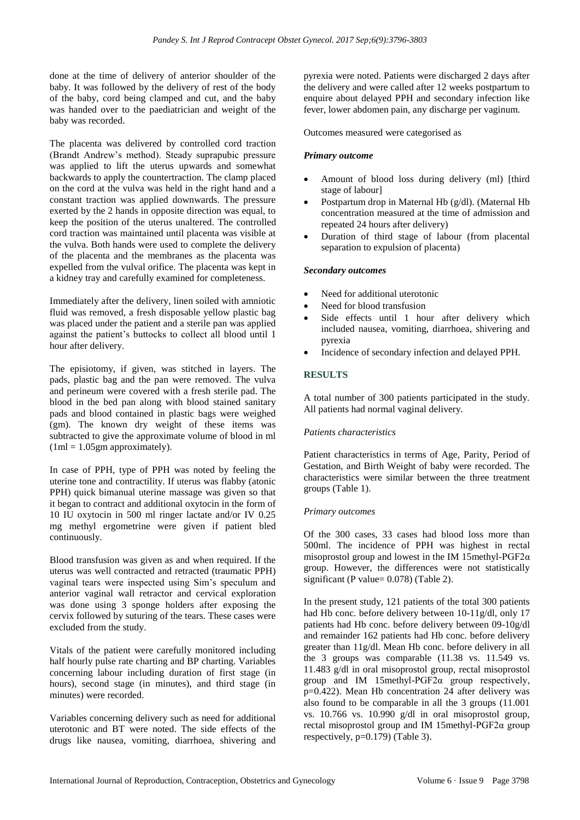done at the time of delivery of anterior shoulder of the baby. It was followed by the delivery of rest of the body of the baby, cord being clamped and cut, and the baby was handed over to the paediatrician and weight of the baby was recorded.

The placenta was delivered by controlled cord traction (Brandt Andrew's method). Steady suprapubic pressure was applied to lift the uterus upwards and somewhat backwards to apply the countertraction. The clamp placed on the cord at the vulva was held in the right hand and a constant traction was applied downwards. The pressure exerted by the 2 hands in opposite direction was equal, to keep the position of the uterus unaltered. The controlled cord traction was maintained until placenta was visible at the vulva. Both hands were used to complete the delivery of the placenta and the membranes as the placenta was expelled from the vulval orifice. The placenta was kept in a kidney tray and carefully examined for completeness.

Immediately after the delivery, linen soiled with amniotic fluid was removed, a fresh disposable yellow plastic bag was placed under the patient and a sterile pan was applied against the patient's buttocks to collect all blood until 1 hour after delivery.

The episiotomy, if given, was stitched in layers. The pads, plastic bag and the pan were removed. The vulva and perineum were covered with a fresh sterile pad. The blood in the bed pan along with blood stained sanitary pads and blood contained in plastic bags were weighed (gm). The known dry weight of these items was subtracted to give the approximate volume of blood in ml  $(1ml = 1.05gm approximately).$ 

In case of PPH, type of PPH was noted by feeling the uterine tone and contractility. If uterus was flabby (atonic PPH) quick bimanual uterine massage was given so that it began to contract and additional oxytocin in the form of 10 IU oxytocin in 500 ml ringer lactate and/or IV 0.25 mg methyl ergometrine were given if patient bled continuously.

Blood transfusion was given as and when required. If the uterus was well contracted and retracted (traumatic PPH) vaginal tears were inspected using Sim's speculum and anterior vaginal wall retractor and cervical exploration was done using 3 sponge holders after exposing the cervix followed by suturing of the tears. These cases were excluded from the study.

Vitals of the patient were carefully monitored including half hourly pulse rate charting and BP charting. Variables concerning labour including duration of first stage (in hours), second stage (in minutes), and third stage (in minutes) were recorded.

Variables concerning delivery such as need for additional uterotonic and BT were noted. The side effects of the drugs like nausea, vomiting, diarrhoea, shivering and pyrexia were noted. Patients were discharged 2 days after the delivery and were called after 12 weeks postpartum to enquire about delayed PPH and secondary infection like fever, lower abdomen pain, any discharge per vaginum.

Outcomes measured were categorised as

### *Primary outcome*

- Amount of blood loss during delivery (ml) [third stage of labour]
- Postpartum drop in Maternal Hb (g/dl). (Maternal Hb concentration measured at the time of admission and repeated 24 hours after delivery)
- Duration of third stage of labour (from placental separation to expulsion of placenta)

### *Secondary outcomes*

- Need for additional uterotonic
- Need for blood transfusion
- Side effects until 1 hour after delivery which included nausea, vomiting, diarrhoea, shivering and pyrexia
- Incidence of secondary infection and delayed PPH.

### **RESULTS**

A total number of 300 patients participated in the study. All patients had normal vaginal delivery.

### *Patients characteristics*

Patient characteristics in terms of Age, Parity, Period of Gestation, and Birth Weight of baby were recorded. The characteristics were similar between the three treatment groups (Table 1).

### *Primary outcomes*

Of the 300 cases, 33 cases had blood loss more than 500ml. The incidence of PPH was highest in rectal misoprostol group and lowest in the IM 15methyl-PGF2 $\alpha$ group. However, the differences were not statistically significant (P value= 0.078) (Table 2).

In the present study, 121 patients of the total 300 patients had Hb conc. before delivery between 10-11g/dl, only 17 patients had Hb conc. before delivery between 09-10g/dl and remainder 162 patients had Hb conc. before delivery greater than 11g/dl. Mean Hb conc. before delivery in all the 3 groups was comparable (11.38 vs. 11.549 vs. 11.483 g/dl in oral misoprostol group, rectal misoprostol group and IM 15methyl-PGF2α group respectively, p=0.422). Mean Hb concentration 24 after delivery was also found to be comparable in all the 3 groups (11.001 vs. 10.766 vs. 10.990 g/dl in oral misoprostol group, rectal misoprostol group and IM 15methyl-PGF2α group respectively, p=0.179) (Table 3).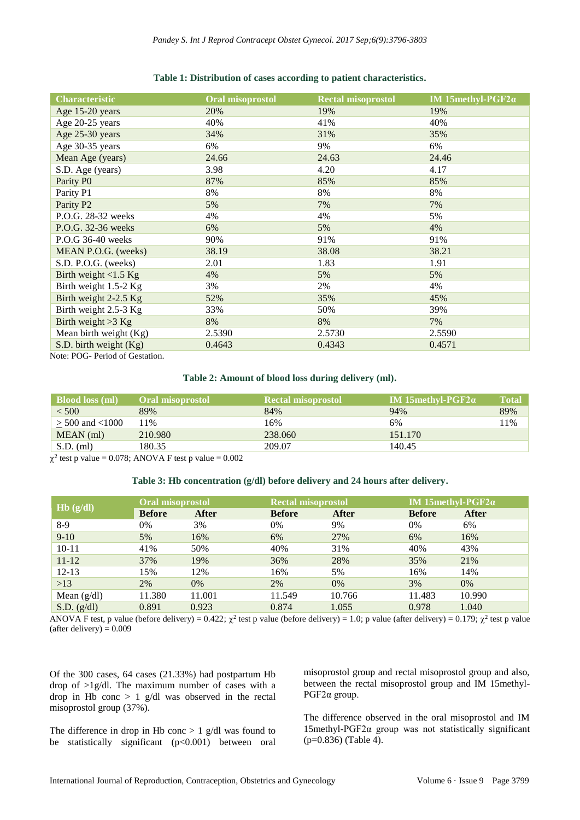#### **Table 1: Distribution of cases according to patient characteristics.**

| <b>Characteristic</b>           | <b>Oral misoprostol</b> | <b>Rectal misoprostol</b> | IM 15methyl-PGF2 $\alpha$ |
|---------------------------------|-------------------------|---------------------------|---------------------------|
| Age 15-20 years                 | 20%                     | 19%                       | 19%                       |
| Age 20-25 years                 | 40%                     | 41%                       | 40%                       |
| Age 25-30 years                 | 34%                     | 31%                       | 35%                       |
| Age 30-35 years                 | 6%                      | 9%                        | 6%                        |
| Mean Age (years)                | 24.66                   | 24.63                     | 24.46                     |
| S.D. Age (years)                | 3.98                    | 4.20                      | 4.17                      |
| Parity PO                       | 87%                     | 85%                       | 85%                       |
| Parity P1                       | 8%                      | 8%                        | 8%                        |
| Parity P <sub>2</sub>           | 5%                      | 7%                        | 7%                        |
| P.O.G. 28-32 weeks              | 4%                      | 4%                        | 5%                        |
| P.O.G. 32-36 weeks              | 6%                      | 5%                        | 4%                        |
| P.O.G 36-40 weeks               | 90%                     | 91%                       | 91%                       |
| MEAN P.O.G. (weeks)             | 38.19                   | 38.08                     | 38.21                     |
| S.D. P.O.G. (weeks)             | 2.01                    | 1.83                      | 1.91                      |
| Birth weight $<$ 1.5 Kg         | 4%                      | 5%                        | 5%                        |
| Birth weight 1.5-2 Kg           | 3%                      | 2%                        | 4%                        |
| Birth weight 2-2.5 Kg           | 52%                     | 35%                       | 45%                       |
| Birth weight 2.5-3 Kg           | 33%                     | 50%                       | 39%                       |
| Birth weight $>3$ Kg            | 8%                      | 8%                        | 7%                        |
| Mean birth weight (Kg)          | 2.5390                  | 2.5730                    | 2.5590                    |
| S.D. birth weight $(Kg)$        | 0.4643                  | 0.4343                    | 0.4571                    |
| Note: POG- Period of Gestation. |                         |                           |                           |

### **Table 2: Amount of blood loss during delivery (ml).**

| <b>Blood loss (ml)</b> | <b>Oral misoprostol</b> | <b>Rectal misoprostol</b> | IM 15 methyl-PGF2 $\alpha$ | <b>Total</b> |
|------------------------|-------------------------|---------------------------|----------------------------|--------------|
| < 500                  | 89%                     | 84%                       | 94%                        | 89%          |
| $>$ 500 and $<$ 1000   | 11%                     | 16%                       | 6%                         | 11%          |
| MEAN (ml)              | 210.980                 | 238.060                   | 151.170                    |              |
| $S.D.$ (ml)            | 180.35                  | 209.07                    | 140.45                     |              |

 $\chi^2$  test p value = 0.078; ANOVA F test p value = 0.002

### **Table 3: Hb concentration (g/dl) before delivery and 24 hours after delivery.**

| Hb(g/dl)      | Oral misoprostol |              | <b>Rectal misoprostol</b> |        | IM 15methyl-PGF2 $\alpha$ |              |
|---------------|------------------|--------------|---------------------------|--------|---------------------------|--------------|
|               | <b>Before</b>    | <b>After</b> | <b>Before</b>             | After  | <b>Before</b>             | <b>After</b> |
| $8-9$         | 0%               | 3%           | 0%                        | 9%     | 0%                        | 6%           |
| $9-10$        | 5%               | 16%          | 6%                        | 27%    | 6%                        | 16%          |
| $10 - 11$     | 41%              | 50%          | 40%                       | 31%    | 40%                       | 43%          |
| $11 - 12$     | 37%              | 19%          | 36%                       | 28%    | 35%                       | 21%          |
| $12 - 13$     | 15%              | 12%          | 16%                       | 5%     | 16%                       | 14%          |
| >13           | 2%               | 0%           | 2%                        | 0%     | 3%                        | 0%           |
| Mean $(g/dl)$ | 11.380           | 11.001       | 11.549                    | 10.766 | 11.483                    | 10.990       |
| S.D. (g/dl)   | 0.891            | 0.923        | 0.874                     | 1.055  | 0.978                     | 1.040        |

ANOVA F test, p value (before delivery) = 0.422;  $\chi^2$  test p value (before delivery) = 1.0; p value (after delivery) = 0.179;  $\chi^2$  test p value (after delivery) =  $0.009$ 

Of the 300 cases, 64 cases (21.33%) had postpartum Hb drop of >1g/dl. The maximum number of cases with a drop in Hb conc > 1 g/dl was observed in the rectal misoprostol group (37%).

The difference in drop in Hb conc  $> 1$  g/dl was found to be statistically significant (p<0.001) between oral misoprostol group and rectal misoprostol group and also, between the rectal misoprostol group and IM 15methyl-PGF2α group.

The difference observed in the oral misoprostol and IM 15methyl-PGF2α group was not statistically significant (p=0.836) (Table 4).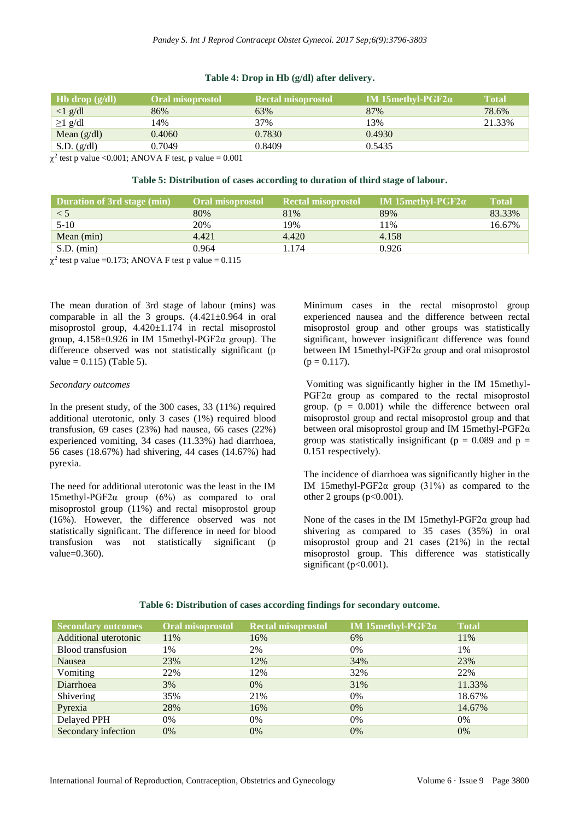#### **Table 4: Drop in Hb (g/dl) after delivery.**

| Hb drop $(g/dl)$                      | <b>Oral misoprostol</b> | <b>Rectal misoprostol</b> | IM 15 methyl-PGF2 $\alpha$ | <b>Total</b> |
|---------------------------------------|-------------------------|---------------------------|----------------------------|--------------|
| $\langle 1 \text{ g/d} \cdot \rangle$ | 86%                     | 63%                       | 87%                        | 78.6%        |
| $\geq$ 1 g/dl                         | 14%                     | 37%                       | 13%                        | 21.33%       |
| Mean $(g/dl)$                         | 0.4060                  | 0.7830                    | 0.4930                     |              |
| S.D. (g/dl)                           | 0.7049                  | 0.8409                    | 0.5435                     |              |

 $\chi^2$  test p value <0.001; ANOVA F test, p value = 0.001

#### **Table 5: Distribution of cases according to duration of third stage of labour.**

| Duration of 3rd stage (min) | <b>Oral misoprostol</b> | Rectal misoprostol | <b>IM 15 methyl-PGF2<math>\alpha</math></b> | <b>Total</b> |
|-----------------------------|-------------------------|--------------------|---------------------------------------------|--------------|
| < 5                         | 80%                     | 81%                | 89%                                         | 83.33%       |
| $5 - 10$                    | 20%                     | 19%                | 11%                                         | 16.67%       |
| Mean $(min)$                | 4.421                   | 4.420              | 4.158                                       |              |
| S.D. (min)                  | 0.964                   | 1.174              | 0.926                                       |              |

 $\chi^2$  test p value =0.173; ANOVA F test p value = 0.115

The mean duration of 3rd stage of labour (mins) was comparable in all the 3 groups.  $(4.421 \pm 0.964$  in oral misoprostol group, 4.420±1.174 in rectal misoprostol group,  $4.158 \pm 0.926$  in IM 15methyl-PGF2 $\alpha$  group). The difference observed was not statistically significant (p  $value = 0.115$  (Table 5).

#### *Secondary outcomes*

In the present study, of the 300 cases, 33 (11%) required additional uterotonic, only 3 cases (1%) required blood transfusion, 69 cases (23%) had nausea, 66 cases (22%) experienced vomiting, 34 cases (11.33%) had diarrhoea, 56 cases (18.67%) had shivering, 44 cases (14.67%) had pyrexia.

The need for additional uterotonic was the least in the IM 15methyl-PGF2 $\alpha$  group (6%) as compared to oral misoprostol group (11%) and rectal misoprostol group (16%). However, the difference observed was not statistically significant. The difference in need for blood transfusion was not statistically significant (p value=0.360).

Minimum cases in the rectal misoprostol group experienced nausea and the difference between rectal misoprostol group and other groups was statistically significant, however insignificant difference was found between IM 15methyl-PGF2α group and oral misoprostol  $(p = 0.117)$ .

Vomiting was significantly higher in the IM 15methyl-PGF2α group as compared to the rectal misoprostol group.  $(p = 0.001)$  while the difference between oral misoprostol group and rectal misoprostol group and that between oral misoprostol group and IM 15methyl-PGF2α group was statistically insignificant ( $p = 0.089$  and  $p =$ 0.151 respectively).

The incidence of diarrhoea was significantly higher in the IM 15methyl-PGF2 $\alpha$  group (31%) as compared to the other 2 groups  $(p<0.001)$ .

None of the cases in the IM 15methyl-PGF2α group had shivering as compared to 35 cases (35%) in oral misoprostol group and 21 cases (21%) in the rectal misoprostol group. This difference was statistically significant ( $p<0.001$ ).

| <b>Secondary outcomes</b> | Oral misoprostol | <b>Rectal misoprostol</b> | IM 15methyl-PGF2 $\alpha$ | <b>Total</b> |
|---------------------------|------------------|---------------------------|---------------------------|--------------|
| Additional uterotonic     | 11%              | 16%                       | 6%                        | 11%          |
| Blood transfusion         | 1%               | 2%                        | 0%                        | 1%           |
| Nausea                    | 23%              | 12%                       | 34%                       | 23%          |
| Vomiting                  | 22%              | 12%                       | 32%                       | 22%          |
| Diarrhoea                 | 3%               | 0%                        | 31%                       | 11.33%       |
| Shivering                 | 35%              | 21%                       | 0%                        | 18.67%       |
| Pyrexia                   | 28%              | 16%                       | 0%                        | 14.67%       |
| Delayed PPH               | 0%               | 0%                        | 0%                        | 0%           |
| Secondary infection       | 0%               | 0%                        | 0%                        | 0%           |

### **Table 6: Distribution of cases according findings for secondary outcome.**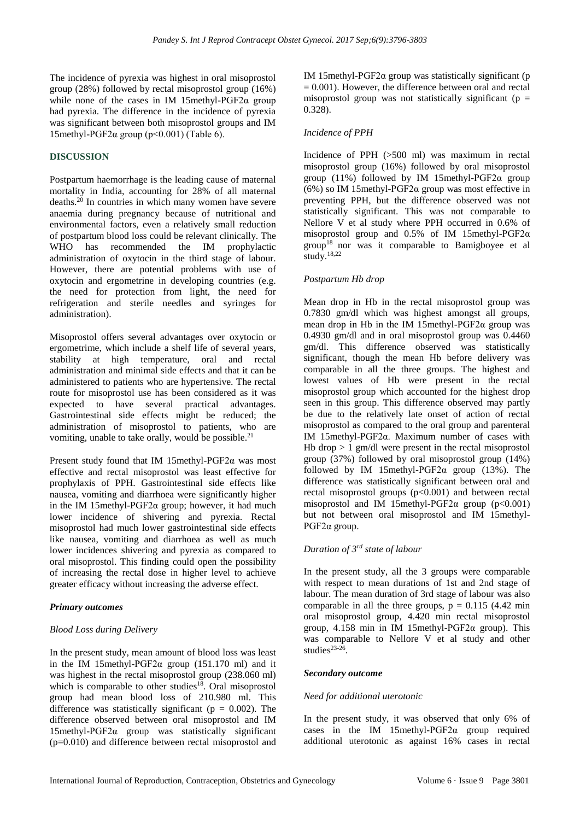The incidence of pyrexia was highest in oral misoprostol group (28%) followed by rectal misoprostol group (16%) while none of the cases in IM 15methyl-PGF2 $\alpha$  group had pyrexia. The difference in the incidence of pyrexia was significant between both misoprostol groups and IM 15methyl-PGF2 $\alpha$  group (p<0.001) (Table 6).

### **DISCUSSION**

Postpartum haemorrhage is the leading cause of maternal mortality in India, accounting for 28% of all maternal deaths. <sup>20</sup> In countries in which many women have severe anaemia during pregnancy because of nutritional and environmental factors, even a relatively small reduction of postpartum blood loss could be relevant clinically. The WHO has recommended the IM prophylactic administration of oxytocin in the third stage of labour. However, there are potential problems with use of oxytocin and ergometrine in developing countries (e.g. the need for protection from light, the need for refrigeration and sterile needles and syringes for administration).

Misoprostol offers several advantages over oxytocin or ergometrime, which include a shelf life of several years, stability at high temperature, oral and rectal administration and minimal side effects and that it can be administered to patients who are hypertensive. The rectal route for misoprostol use has been considered as it was expected to have several practical advantages. Gastrointestinal side effects might be reduced; the administration of misoprostol to patients, who are vomiting, unable to take orally, would be possible. 21

Present study found that IM 15methyl-PGF2α was most effective and rectal misoprostol was least effective for prophylaxis of PPH. Gastrointestinal side effects like nausea, vomiting and diarrhoea were significantly higher in the IM 15methyl-PGF2α group; however, it had much lower incidence of shivering and pyrexia. Rectal misoprostol had much lower gastrointestinal side effects like nausea, vomiting and diarrhoea as well as much lower incidences shivering and pyrexia as compared to oral misoprostol. This finding could open the possibility of increasing the rectal dose in higher level to achieve greater efficacy without increasing the adverse effect.

### *Primary outcomes*

### *Blood Loss during Delivery*

In the present study, mean amount of blood loss was least in the IM 15methyl-PGF2 $\alpha$  group (151.170 ml) and it was highest in the rectal misoprostol group (238.060 ml) which is comparable to other studies<sup>18</sup>. Oral misoprostol group had mean blood loss of 210.980 ml. This difference was statistically significant ( $p = 0.002$ ). The difference observed between oral misoprostol and IM 15methyl-PGF2α group was statistically significant (p=0.010) and difference between rectal misoprostol and IM 15methyl-PGF2α group was statistically significant (p  $= 0.001$ ). However, the difference between oral and rectal misoprostol group was not statistically significant ( $p =$ 0.328).

### *Incidence of PPH*

Incidence of PPH (>500 ml) was maximum in rectal misoprostol group (16%) followed by oral misoprostol group (11%) followed by IM 15methyl-PGF2 $\alpha$  group (6%) so IM 15methyl-PGF2α group was most effective in preventing PPH, but the difference observed was not statistically significant. This was not comparable to Nellore V et al study where PPH occurred in 0.6% of misoprostol group and 0.5% of IM 15methyl-PGF2α group<sup>18</sup> nor was it comparable to Bamigboyee et al study. 18,22

### *Postpartum Hb drop*

Mean drop in Hb in the rectal misoprostol group was 0.7830 gm/dl which was highest amongst all groups, mean drop in Hb in the IM 15methyl-PGF2α group was 0.4930 gm/dl and in oral misoprostol group was 0.4460 gm/dl. This difference observed was statistically significant, though the mean Hb before delivery was comparable in all the three groups. The highest and lowest values of Hb were present in the rectal misoprostol group which accounted for the highest drop seen in this group. This difference observed may partly be due to the relatively late onset of action of rectal misoprostol as compared to the oral group and parenteral IM 15methyl-PGF2α. Maximum number of cases with Hb drop  $> 1$  gm/dl were present in the rectal misoprostol group (37%) followed by oral misoprostol group (14%) followed by IM 15methyl-PGF2 $\alpha$  group (13%). The difference was statistically significant between oral and rectal misoprostol groups  $(p<0.001)$  and between rectal misoprostol and IM 15methyl-PGF2 $\alpha$  group (p<0.001) but not between oral misoprostol and IM 15methyl-PGF2α group.

### *Duration of 3rd state of labour*

In the present study, all the 3 groups were comparable with respect to mean durations of 1st and 2nd stage of labour. The mean duration of 3rd stage of labour was also comparable in all the three groups,  $p = 0.115$  (4.42 min oral misoprostol group, 4.420 min rectal misoprostol group, 4.158 min in IM 15methyl-PGF2α group). This was comparable to Nellore V et al study and other studies $23-26$ .

### *Secondary outcome*

### *Need for additional uterotonic*

In the present study, it was observed that only 6% of cases in the IM 15methyl-PGF2α group required additional uterotonic as against 16% cases in rectal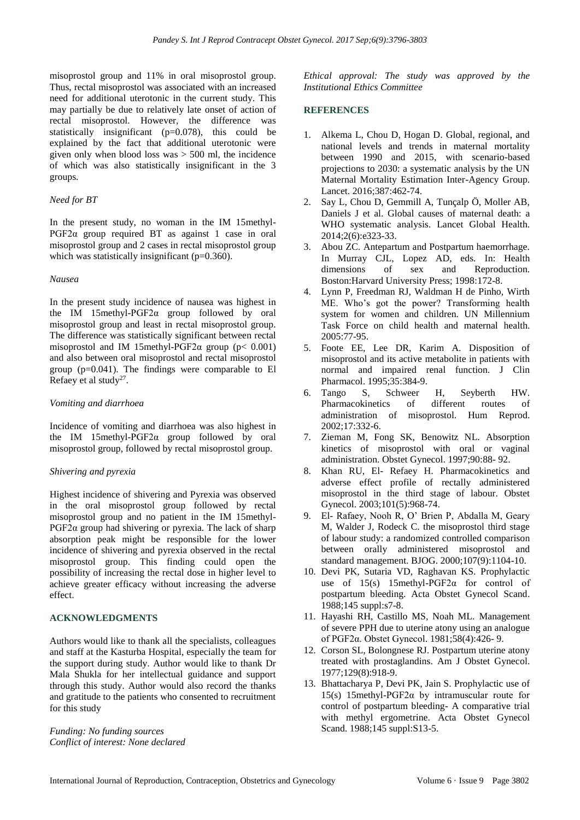misoprostol group and 11% in oral misoprostol group. Thus, rectal misoprostol was associated with an increased need for additional uterotonic in the current study. This may partially be due to relatively late onset of action of rectal misoprostol. However, the difference was statistically insignificant (p=0.078), this could be explained by the fact that additional uterotonic were given only when blood loss was  $> 500$  ml, the incidence of which was also statistically insignificant in the 3 groups.

### *Need for BT*

In the present study, no woman in the IM 15methyl-PGF2α group required BT as against 1 case in oral misoprostol group and 2 cases in rectal misoprostol group which was statistically insignificant (p=0.360).

### *Nausea*

In the present study incidence of nausea was highest in the IM 15methyl-PGF2α group followed by oral misoprostol group and least in rectal misoprostol group. The difference was statistically significant between rectal misoprostol and IM 15methyl-PGF2 $\alpha$  group (p< 0.001) and also between oral misoprostol and rectal misoprostol group  $(p=0.041)$ . The findings were comparable to El Refaey et al study<sup>27</sup>.

### *Vomiting and diarrhoea*

Incidence of vomiting and diarrhoea was also highest in the IM 15methyl-PGF2α group followed by oral misoprostol group, followed by rectal misoprostol group.

### *Shivering and pyrexia*

Highest incidence of shivering and Pyrexia was observed in the oral misoprostol group followed by rectal misoprostol group and no patient in the IM 15methyl-PGF2 $\alpha$  group had shivering or pyrexia. The lack of sharp absorption peak might be responsible for the lower incidence of shivering and pyrexia observed in the rectal misoprostol group. This finding could open the possibility of increasing the rectal dose in higher level to achieve greater efficacy without increasing the adverse effect.

### **ACKNOWLEDGMENTS**

Authors would like to thank all the specialists, colleagues and staff at the Kasturba Hospital, especially the team for the support during study. Author would like to thank Dr Mala Shukla for her intellectual guidance and support through this study. Author would also record the thanks and gratitude to the patients who consented to recruitment for this study

*Funding: No funding sources Conflict of interest: None declared* *Ethical approval: The study was approved by the Institutional Ethics Committee*

### **REFERENCES**

- 1. Alkema L, Chou D, Hogan D. Global, regional, and national levels and trends in maternal mortality between 1990 and 2015, with scenario-based projections to 2030: a systematic analysis by the UN Maternal Mortality Estimation Inter-Agency Group. Lancet. 2016;387:462-74.
- 2. Say L, Chou D, Gemmill A, Tunçalp Ö, Moller AB, Daniels J et al. Global causes of maternal death: a WHO systematic analysis. Lancet Global Health. 2014;2(6):e323-33.
- 3. Abou ZC. Antepartum and Postpartum haemorrhage. In Murray CJL, Lopez AD, eds. In: Health dimensions of sex and Reproduction. Boston:Harvard University Press; 1998:172-8.
- 4. Lynn P, Freedman RJ, Waldman H de Pinho, Wirth ME. Who's got the power? Transforming health system for women and children. UN Millennium Task Force on child health and maternal health. 2005:77-95.
- 5. Foote EE, Lee DR, Karim A. Disposition of misoprostol and its active metabolite in patients with normal and impaired renal function. J Clin Pharmacol. 1995;35:384-9.
- 6. Tango S, Schweer H, Seyberth HW. Pharmacokinetics of different routes of administration of misoprostol. Hum Reprod. 2002;17:332-6.
- 7. Zieman M, Fong SK, Benowitz NL. Absorption kinetics of misoprostol with oral or vaginal administration. Obstet Gynecol. 1997;90:88- 92.
- 8. Khan RU, El- Refaey H. Pharmacokinetics and adverse effect profile of rectally administered misoprostol in the third stage of labour. Obstet Gynecol. 2003;101(5):968-74.
- 9. El- Rafaey, Nooh R, O' Brien P, Abdalla M, Geary M, Walder J, Rodeck C. the misoprostol third stage of labour study: a randomized controlled comparison between orally administered misoprostol and standard management. BJOG. 2000;107(9):1104-10.
- 10. Devi PK, Sutaria VD, Raghavan KS. Prophylactic use of 15(s) 15methyl-PGF2α for control of postpartum bleeding. Acta Obstet Gynecol Scand. 1988;145 suppl:s7-8.
- 11. Hayashi RH, Castillo MS, Noah ML. Management of severe PPH due to uterine atony using an analogue of PGF2α. Obstet Gynecol. 1981;58(4):426- 9.
- 12. Corson SL, Bolongnese RJ. Postpartum uterine atony treated with prostaglandins. Am J Obstet Gynecol. 1977;129(8):918-9.
- 13. Bhattacharya P, Devi PK, Jain S. Prophylactic use of 15(s) 15methyl-PGF2α by intramuscular route for control of postpartum bleeding- A comparative trial with methyl ergometrine. Acta Obstet Gynecol Scand. 1988;145 suppl:S13-5.